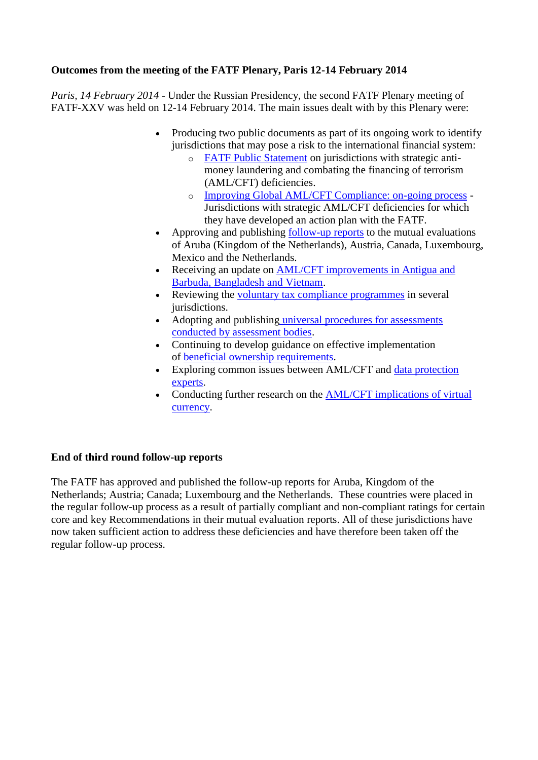# **Outcomes from the meeting of the FATF Plenary, Paris 12-14 February 2014**

*Paris, 14 February 2014* - Under the Russian Presidency, the second FATF Plenary meeting of FATF-XXV was held on 12-14 February 2014. The main issues dealt with by this Plenary were:

- Producing two public documents as part of its ongoing work to identify jurisdictions that may pose a risk to the international financial system:
	- o [FATF Public Statement](http://www.fatf-gafi.org/topics/high-riskandnon-cooperativejurisdictions/documents/public-statement-feb-2014.html) on jurisdictions with strategic antimoney laundering and combating the financing of terrorism (AML/CFT) deficiencies.
	- o [Improving Global AML/CFT Compliance: on-going process](http://www.fatf-gafi.org/topics/high-riskandnon-cooperativejurisdictions/documents/fatf-compliance-feb-2014.html) Jurisdictions with strategic AML/CFT deficiencies for which they have developed an action plan with the FATF.
- Approving and publishing [follow-up reports](http://www.fatf-gafi.org/documents/news/plenary-outcomes-feb-2014.html#fur) to the mutual evaluations of Aruba (Kingdom of the Netherlands), Austria, Canada, Luxembourg, Mexico and the Netherlands.
- Receiving an update on AML/CFT improvements in Antigua and [Barbuda, Bangladesh and Vietnam.](http://www.fatf-gafi.org/documents/news/plenary-outcomes-feb-2014.html#AML_CFT_Improvements)
- Reviewing the [voluntary tax compliance programmes](http://www.fatf-gafi.org/documents/news/plenary-outcomes-feb-2014.html#vtc) in several jurisdictions.
- Adopting and publishing universal procedures for assessments [conducted by assessment bodies.](http://www.fatf-gafi.org/documents/news/plenary-outcomes-feb-2014.html#Assessment_procedures)
- Continuing to develop guidance on effective implementation of [beneficial ownership requirements.](http://www.fatf-gafi.org/documents/news/plenary-outcomes-feb-2014.html#bo)
- Exploring common issues between AML/CFT and data protection [experts.](http://www.fatf-gafi.org/documents/news/plenary-outcomes-feb-2014.html#dp)
- Conducting further research on the [AML/CFT implications of virtual](http://www.fatf-gafi.org/documents/news/plenary-outcomes-feb-2014.html#virt_cur)  [currency.](http://www.fatf-gafi.org/documents/news/plenary-outcomes-feb-2014.html#virt_cur)

# **End of third round follow-up reports**

The FATF has approved and published the follow-up reports for Aruba, Kingdom of the Netherlands; Austria; Canada; Luxembourg and the Netherlands. These countries were placed in the regular follow-up process as a result of partially compliant and non-compliant ratings for certain core and key Recommendations in their mutual evaluation reports. All of these jurisdictions have now taken sufficient action to address these deficiencies and have therefore been taken off the regular follow-up process.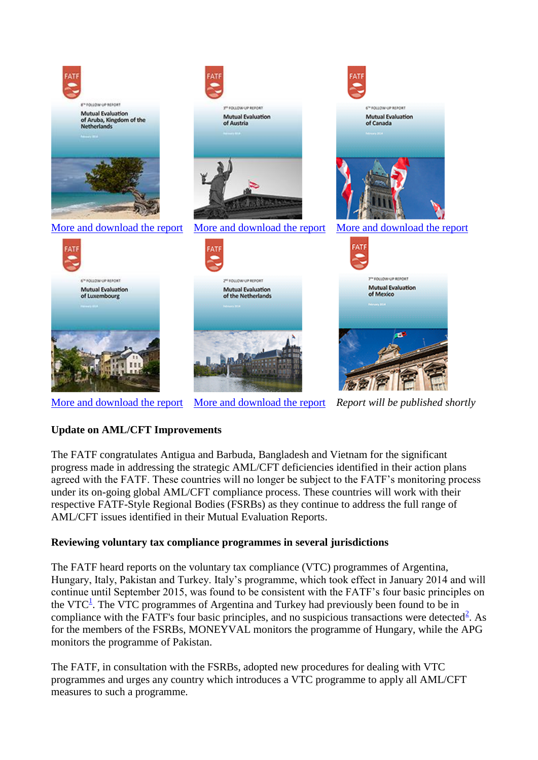

[More and download the report](http://www.fatf-gafi.org/topics/mutualevaluations/documents/fur-luxembourg-2014.html) [More and download the report](http://www.fatf-gafi.org/topics/mutualevaluations/documents/fur-netherlands-2014.html) *Report will be published shortly*

# **Update on AML/CFT Improvements**

The FATF congratulates Antigua and Barbuda, Bangladesh and Vietnam for the significant progress made in addressing the strategic AML/CFT deficiencies identified in their action plans agreed with the FATF. These countries will no longer be subject to the FATF's monitoring process under its on-going global AML/CFT compliance process. These countries will work with their respective FATF-Style Regional Bodies (FSRBs) as they continue to address the full range of AML/CFT issues identified in their Mutual Evaluation Reports.

# **Reviewing voluntary tax compliance programmes in several jurisdictions**

The FATF heard reports on the voluntary tax compliance (VTC) programmes of Argentina, Hungary, Italy, Pakistan and Turkey. Italy's programme, which took effect in January 2014 and will continue until September 2015, was found to be consistent with the FATF's four basic principles on the VTC<sup>1</sup>[.](http://www.fatf-gafi.org/documents/news/plenary-outcomes-feb-2014.html#FN1) The VTC programmes of Argentina and Turkey had previously been found to be in compliance with the FATF's four basic principles, and no suspicious transactions were detected $2$ . As for the members of the FSRBs, MONEYVAL monitors the programme of Hungary, while the APG monitors the programme of Pakistan.

The FATF, in consultation with the FSRBs, adopted new procedures for dealing with VTC programmes and urges any country which introduces a VTC programme to apply all AML/CFT measures to such a programme.